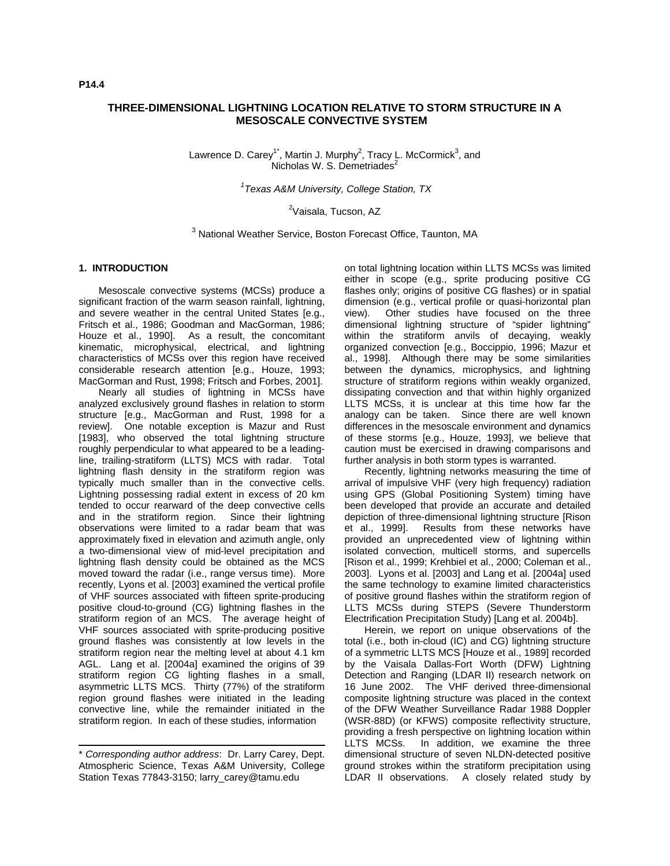# **THREE-DIMENSIONAL LIGHTNING LOCATION RELATIVE TO STORM STRUCTURE IN A MESOSCALE CONVECTIVE SYSTEM**

Lawrence D. Carey<sup>1\*</sup>, Martin J. Murphy<sup>2</sup>, Tracy L. McCormick<sup>3</sup>, and Nicholas W. S. Demetriades $2$ 

*1 Texas A&M University, College Station, TX*

<sup>2</sup>Vaisala, Tucson, AZ

<sup>3</sup> National Weather Service, Boston Forecast Office, Taunton, MA

#### **1. INTRODUCTION**

Mesoscale convective systems (MCSs) produce a significant fraction of the warm season rainfall, lightning, and severe weather in the central United States [e.g., Fritsch et al., 1986; Goodman and MacGorman, 1986; Houze et al., 1990]. As a result, the concomitant kinematic, microphysical, electrical, and lightning characteristics of MCSs over this region have received considerable research attention [e.g., Houze, 1993; MacGorman and Rust, 1998; Fritsch and Forbes, 2001].

Nearly all studies of lightning in MCSs have analyzed exclusively ground flashes in relation to storm structure [e.g., MacGorman and Rust, 1998 for a review]. One notable exception is Mazur and Rust [1983], who observed the total lightning structure roughly perpendicular to what appeared to be a leadingline, trailing-stratiform (LLTS) MCS with radar. Total lightning flash density in the stratiform region was typically much smaller than in the convective cells. Lightning possessing radial extent in excess of 20 km tended to occur rearward of the deep convective cells and in the stratiform region. Since their lightning observations were limited to a radar beam that was approximately fixed in elevation and azimuth angle, only a two-dimensional view of mid-level precipitation and lightning flash density could be obtained as the MCS moved toward the radar (i.e., range versus time). More recently, Lyons et al. [2003] examined the vertical profile of VHF sources associated with fifteen sprite-producing positive cloud-to-ground (CG) lightning flashes in the stratiform region of an MCS. The average height of VHF sources associated with sprite-producing positive ground flashes was consistently at low levels in the stratiform region near the melting level at about 4.1 km AGL. Lang et al. [2004a] examined the origins of 39 stratiform region CG lighting flashes in a small, asymmetric LLTS MCS. Thirty (77%) of the stratiform region ground flashes were initiated in the leading convective line, while the remainder initiated in the stratiform region. In each of these studies, information

on total lightning location within LLTS MCSs was limited either in scope (e.g., sprite producing positive CG flashes only; origins of positive CG flashes) or in spatial dimension (e.g., vertical profile or quasi-horizontal plan view). Other studies have focused on the three dimensional lightning structure of "spider lightning" within the stratiform anvils of decaying, weakly organized convection [e.g., Boccippio, 1996; Mazur et al., 1998]. Although there may be some similarities between the dynamics, microphysics, and lightning structure of stratiform regions within weakly organized, dissipating convection and that within highly organized LLTS MCSs, it is unclear at this time how far the analogy can be taken. Since there are well known differences in the mesoscale environment and dynamics of these storms [e.g., Houze, 1993], we believe that caution must be exercised in drawing comparisons and further analysis in both storm types is warranted.

Recently, lightning networks measuring the time of arrival of impulsive VHF (very high frequency) radiation using GPS (Global Positioning System) timing have been developed that provide an accurate and detailed depiction of three-dimensional lightning structure [Rison et al., 1999]. Results from these networks have provided an unprecedented view of lightning within isolated convection, multicell storms, and supercells [Rison et al., 1999; Krehbiel et al., 2000; Coleman et al., 2003]. Lyons et al. [2003] and Lang et al. [2004a] used the same technology to examine limited characteristics of positive ground flashes within the stratiform region of LLTS MCSs during STEPS (Severe Thunderstorm Electrification Precipitation Study) [Lang et al. 2004b].

Herein, we report on unique observations of the total (i.e., both in-cloud (IC) and CG) lightning structure of a symmetric LLTS MCS [Houze et al., 1989] recorded by the Vaisala Dallas-Fort Worth (DFW) Lightning Detection and Ranging (LDAR II) research network on 16 June 2002. The VHF derived three-dimensional composite lightning structure was placed in the context of the DFW Weather Surveillance Radar 1988 Doppler (WSR-88D) (or KFWS) composite reflectivity structure, providing a fresh perspective on lightning location within LLTS MCSs. In addition, we examine the three dimensional structure of seven NLDN-detected positive ground strokes within the stratiform precipitation using LDAR II observations. A closely related study by

<sup>\*</sup> *Corresponding author address*: Dr. Larry Carey, Dept. Atmospheric Science, Texas A&M University, College Station Texas 77843-3150; larry\_carey@tamu.edu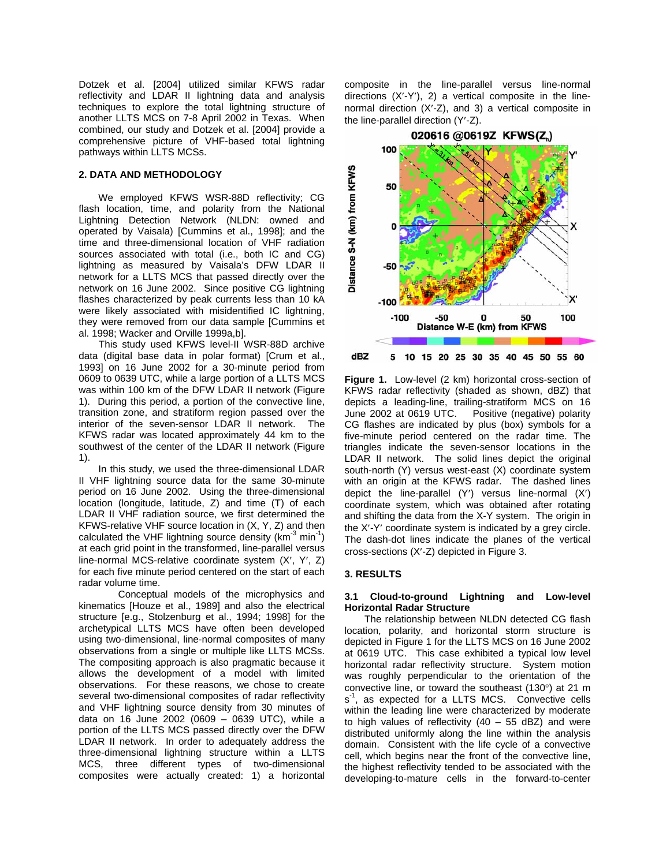Dotzek et al. [2004] utilized similar KFWS radar reflectivity and LDAR II lightning data and analysis techniques to explore the total lightning structure of another LLTS MCS on 7-8 April 2002 in Texas. When combined, our study and Dotzek et al. [2004] provide a comprehensive picture of VHF-based total lightning pathways within LLTS MCSs.

## **2. DATA AND METHODOLOGY**

We employed KFWS WSR-88D reflectivity; CG flash location, time, and polarity from the National Lightning Detection Network (NLDN: owned and operated by Vaisala) [Cummins et al., 1998]; and the time and three-dimensional location of VHF radiation sources associated with total (i.e., both IC and CG) lightning as measured by Vaisala's DFW LDAR II network for a LLTS MCS that passed directly over the network on 16 June 2002. Since positive CG lightning flashes characterized by peak currents less than 10 kA were likely associated with misidentified IC lightning, they were removed from our data sample [Cummins et al. 1998; Wacker and Orville 1999a,b].

This study used KFWS level-II WSR-88D archive data (digital base data in polar format) [Crum et al., 1993] on 16 June 2002 for a 30-minute period from 0609 to 0639 UTC, while a large portion of a LLTS MCS was within 100 km of the DFW LDAR II network (Figure 1). During this period, a portion of the convective line, transition zone, and stratiform region passed over the interior of the seven-sensor LDAR II network. The KFWS radar was located approximately 44 km to the southwest of the center of the LDAR II network (Figure 1).

In this study, we used the three-dimensional LDAR II VHF lightning source data for the same 30-minute period on 16 June 2002. Using the three-dimensional location (longitude, latitude, Z) and time (T) of each LDAR II VHF radiation source, we first determined the KFWS-relative VHF source location in (X, Y, Z) and then calculated the VHF lightning source density ( $km^{-3}$  min<sup>-1</sup>) at each grid point in the transformed, line-parallel versus line-normal MCS-relative coordinate system (X′, Y′, Z) for each five minute period centered on the start of each radar volume time.

Conceptual models of the microphysics and kinematics [Houze et al., 1989] and also the electrical structure [e.g., Stolzenburg et al., 1994; 1998] for the archetypical LLTS MCS have often been developed using two-dimensional, line-normal composites of many observations from a single or multiple like LLTS MCSs. The compositing approach is also pragmatic because it allows the development of a model with limited observations. For these reasons, we chose to create several two-dimensional composites of radar reflectivity and VHF lightning source density from 30 minutes of data on 16 June 2002 (0609 – 0639 UTC), while a portion of the LLTS MCS passed directly over the DFW LDAR II network. In order to adequately address the three-dimensional lightning structure within a LLTS MCS, three different types of two-dimensional composites were actually created: 1) a horizontal

composite in the line-parallel versus line-normal directions (X′-Y′), 2) a vertical composite in the linenormal direction (X′-Z), and 3) a vertical composite in the line-parallel direction (Y′-Z).



**Figure 1.** Low-level (2 km) horizontal cross-section of KFWS radar reflectivity (shaded as shown, dBZ) that depicts a leading-line, trailing-stratiform MCS on 16 June 2002 at 0619 UTC. Positive (negative) polarity CG flashes are indicated by plus (box) symbols for a five-minute period centered on the radar time. The triangles indicate the seven-sensor locations in the LDAR II network. The solid lines depict the original south-north (Y) versus west-east (X) coordinate system with an origin at the KFWS radar. The dashed lines depict the line-parallel (Y′) versus line-normal (X′) coordinate system, which was obtained after rotating and shifting the data from the X-Y system. The origin in the X′-Y′ coordinate system is indicated by a grey circle. The dash-dot lines indicate the planes of the vertical cross-sections (X′-Z) depicted in Figure 3.

## **3. RESULTS**

### **3.1 Cloud-to-ground Lightning and Low-level Horizontal Radar Structure**

The relationship between NLDN detected CG flash location, polarity, and horizontal storm structure is depicted in Figure 1 for the LLTS MCS on 16 June 2002 at 0619 UTC. This case exhibited a typical low level horizontal radar reflectivity structure. System motion was roughly perpendicular to the orientation of the convective line, or toward the southeast (130°) at 21 m s<sup>-1</sup>, as expected for a LLTS MCS. Convective cells within the leading line were characterized by moderate to high values of reflectivity  $(40 - 55$  dBZ) and were distributed uniformly along the line within the analysis domain. Consistent with the life cycle of a convective cell, which begins near the front of the convective line, the highest reflectivity tended to be associated with the developing-to-mature cells in the forward-to-center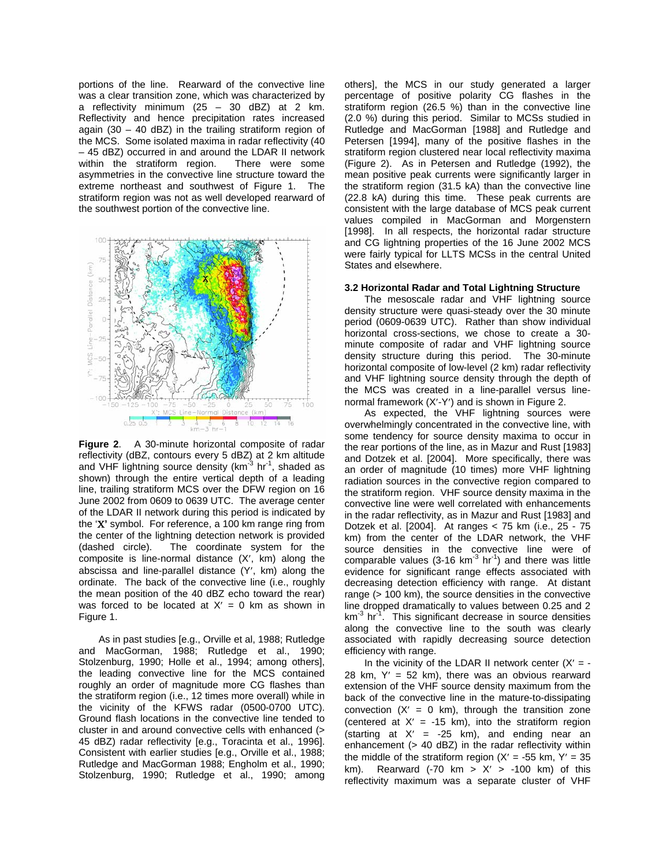portions of the line. Rearward of the convective line was a clear transition zone, which was characterized by a reflectivity minimum  $(25 - 30$  dBZ) at 2 km. Reflectivity and hence precipitation rates increased again (30 – 40 dBZ) in the trailing stratiform region of the MCS. Some isolated maxima in radar reflectivity (40 – 45 dBZ) occurred in and around the LDAR II network within the stratiform region. There were some asymmetries in the convective line structure toward the extreme northeast and southwest of Figure 1. The stratiform region was not as well developed rearward of the southwest portion of the convective line.



**Figure 2**. A 30-minute horizontal composite of radar reflectivity (dBZ, contours every 5 dBZ) at 2 km altitude and VHF lightning source density ( $km^{-3}$  hr<sup>-1</sup>, shaded as shown) through the entire vertical depth of a leading line, trailing stratiform MCS over the DFW region on 16 June 2002 from 0609 to 0639 UTC. The average center of the LDAR II network during this period is indicated by the 'Χ**'** symbol. For reference, a 100 km range ring from the center of the lightning detection network is provided (dashed circle). The coordinate system for the composite is line-normal distance (X′, km) along the abscissa and line-parallel distance (Y′, km) along the ordinate. The back of the convective line (i.e., roughly the mean position of the 40 dBZ echo toward the rear) was forced to be located at  $X' = 0$  km as shown in Figure 1.

As in past studies [e.g., Orville et al, 1988; Rutledge and MacGorman, 1988; Rutledge et al., 1990; Stolzenburg, 1990; Holle et al., 1994; among others], the leading convective line for the MCS contained roughly an order of magnitude more CG flashes than the stratiform region (i.e., 12 times more overall) while in the vicinity of the KFWS radar (0500-0700 UTC). Ground flash locations in the convective line tended to cluster in and around convective cells with enhanced (> 45 dBZ) radar reflectivity [e.g., Toracinta et al., 1996]. Consistent with earlier studies [e.g., Orville et al., 1988; Rutledge and MacGorman 1988; Engholm et al., 1990; Stolzenburg, 1990; Rutledge et al., 1990; among

others], the MCS in our study generated a larger percentage of positive polarity CG flashes in the stratiform region (26.5 %) than in the convective line (2.0 %) during this period. Similar to MCSs studied in Rutledge and MacGorman [1988] and Rutledge and Petersen [1994], many of the positive flashes in the stratiform region clustered near local reflectivity maxima (Figure 2). As in Petersen and Rutledge (1992), the mean positive peak currents were significantly larger in the stratiform region (31.5 kA) than the convective line (22.8 kA) during this time. These peak currents are consistent with the large database of MCS peak current values compiled in MacGorman and Morgenstern [1998]. In all respects, the horizontal radar structure and CG lightning properties of the 16 June 2002 MCS were fairly typical for LLTS MCSs in the central United States and elsewhere.

#### **3.2 Horizontal Radar and Total Lightning Structure**

The mesoscale radar and VHF lightning source density structure were quasi-steady over the 30 minute period (0609-0639 UTC). Rather than show individual horizontal cross-sections, we chose to create a 30 minute composite of radar and VHF lightning source density structure during this period. The 30-minute horizontal composite of low-level (2 km) radar reflectivity and VHF lightning source density through the depth of the MCS was created in a line-parallel versus linenormal framework (X′-Y′) and is shown in Figure 2.

As expected, the VHF lightning sources were overwhelmingly concentrated in the convective line, with some tendency for source density maxima to occur in the rear portions of the line, as in Mazur and Rust [1983] and Dotzek et al. [2004]. More specifically, there was an order of magnitude (10 times) more VHF lightning radiation sources in the convective region compared to the stratiform region. VHF source density maxima in the convective line were well correlated with enhancements in the radar reflectivity, as in Mazur and Rust [1983] and Dotzek et al. [2004]. At ranges < 75 km (i.e., 25 - 75 km) from the center of the LDAR network, the VHF source densities in the convective line were of comparable values (3-16  $km^{-3}$  hr<sup>-1</sup>) and there was little evidence for significant range effects associated with decreasing detection efficiency with range. At distant range (> 100 km), the source densities in the convective line dropped dramatically to values between 0.25 and 2  $km<sup>-3</sup>$  hr<sup>-1</sup>. This significant decrease in source densities along the convective line to the south was clearly associated with rapidly decreasing source detection efficiency with range.

In the vicinity of the LDAR II network center  $(X' = -1)$ 28 km,  $Y' = 52$  km), there was an obvious rearward extension of the VHF source density maximum from the back of the convective line in the mature-to-dissipating convection  $(X' = 0 \text{ km})$ , through the transition zone (centered at  $X' = -15$  km), into the stratiform region (starting at  $X' = -25$  km), and ending near an enhancement (> 40 dBZ) in the radar reflectivity within the middle of the stratiform region  $(X' = -55$  km,  $Y' = 35$ km). Rearward (-70 km >  $X'$  > -100 km) of this reflectivity maximum was a separate cluster of VHF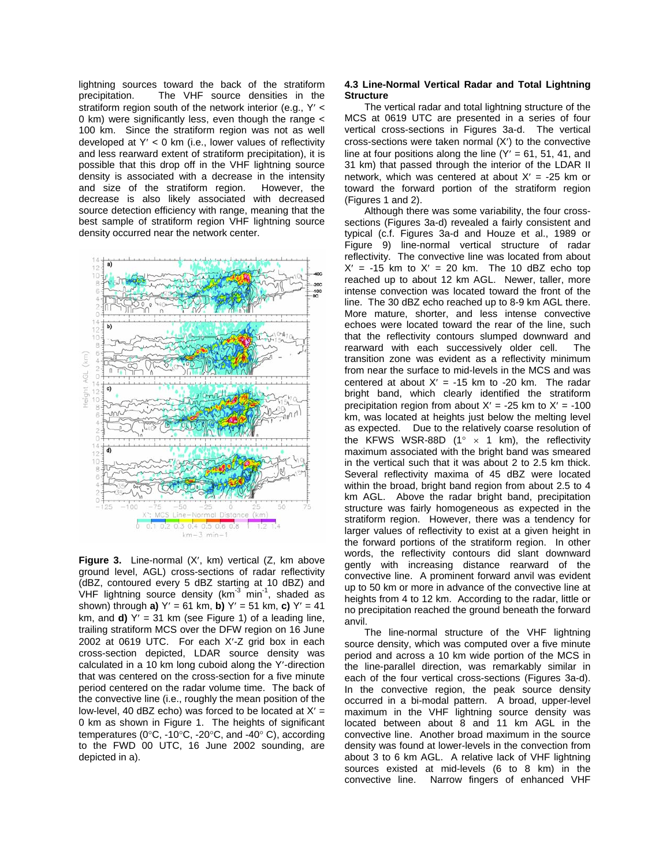lightning sources toward the back of the stratiform precipitation. The VHF source densities in the stratiform region south of the network interior (e.g., Y′ < 0 km) were significantly less, even though the range < 100 km. Since the stratiform region was not as well developed at Y′ < 0 km (i.e., lower values of reflectivity and less rearward extent of stratiform precipitation), it is possible that this drop off in the VHF lightning source density is associated with a decrease in the intensity and size of the stratiform region. However, the decrease is also likely associated with decreased source detection efficiency with range, meaning that the best sample of stratiform region VHF lightning source density occurred near the network center.



**Figure 3.** Line-normal (X′, km) vertical (Z, km above ground level, AGL) cross-sections of radar reflectivity (dBZ, contoured every 5 dBZ starting at 10 dBZ) and VHF lightning source density  $(km^{-3} min^{-1})$ , shaded as shown) through **a)** Y′ = 61 km, **b)** Y′ = 51 km, **c)** Y′ = 41 km, and **d)**  $Y' = 31$  km (see Figure 1) of a leading line, trailing stratiform MCS over the DFW region on 16 June 2002 at 0619 UTC. For each X′-Z grid box in each cross-section depicted, LDAR source density was calculated in a 10 km long cuboid along the Y′-direction that was centered on the cross-section for a five minute period centered on the radar volume time. The back of the convective line (i.e., roughly the mean position of the low-level, 40 dBZ echo) was forced to be located at  $X' =$ 0 km as shown in Figure 1. The heights of significant temperatures (0°C, -10°C, -20°C, and -40° C), according to the FWD 00 UTC, 16 June 2002 sounding, are depicted in a).

#### **4.3 Line-Normal Vertical Radar and Total Lightning Structure**

The vertical radar and total lightning structure of the MCS at 0619 UTC are presented in a series of four vertical cross-sections in Figures 3a-d. The vertical cross-sections were taken normal (X′) to the convective line at four positions along the line  $(Y' = 61, 51, 41,$  and 31 km) that passed through the interior of the LDAR II network, which was centered at about  $X' = -25$  km or toward the forward portion of the stratiform region (Figures 1 and 2).

Although there was some variability, the four crosssections (Figures 3a-d) revealed a fairly consistent and typical (c.f. Figures 3a-d and Houze et al., 1989 or Figure 9) line-normal vertical structure of radar reflectivity. The convective line was located from about  $X' = -15$  km to  $X' = 20$  km. The 10 dBZ echo top reached up to about 12 km AGL. Newer, taller, more intense convection was located toward the front of the line. The 30 dBZ echo reached up to 8-9 km AGL there. More mature, shorter, and less intense convective echoes were located toward the rear of the line, such that the reflectivity contours slumped downward and rearward with each successively older cell. The transition zone was evident as a reflectivity minimum from near the surface to mid-levels in the MCS and was centered at about  $X' = -15$  km to -20 km. The radar bright band, which clearly identified the stratiform precipitation region from about  $X' = -25$  km to  $X' = -100$ km, was located at heights just below the melting level as expected. Due to the relatively coarse resolution of the KFWS WSR-88D (1 $\degree$  x 1 km), the reflectivity maximum associated with the bright band was smeared in the vertical such that it was about 2 to 2.5 km thick. Several reflectivity maxima of 45 dBZ were located within the broad, bright band region from about 2.5 to 4 km AGL. Above the radar bright band, precipitation structure was fairly homogeneous as expected in the stratiform region. However, there was a tendency for larger values of reflectivity to exist at a given height in the forward portions of the stratiform region. In other words, the reflectivity contours did slant downward gently with increasing distance rearward of the convective line. A prominent forward anvil was evident up to 50 km or more in advance of the convective line at heights from 4 to 12 km. According to the radar, little or no precipitation reached the ground beneath the forward anvil.

The line-normal structure of the VHF lightning source density, which was computed over a five minute period and across a 10 km wide portion of the MCS in the line-parallel direction, was remarkably similar in each of the four vertical cross-sections (Figures 3a-d). In the convective region, the peak source density occurred in a bi-modal pattern. A broad, upper-level maximum in the VHF lightning source density was located between about 8 and 11 km AGL in the convective line. Another broad maximum in the source density was found at lower-levels in the convection from about 3 to 6 km AGL. A relative lack of VHF lightning sources existed at mid-levels (6 to 8 km) in the convective line. Narrow fingers of enhanced VHF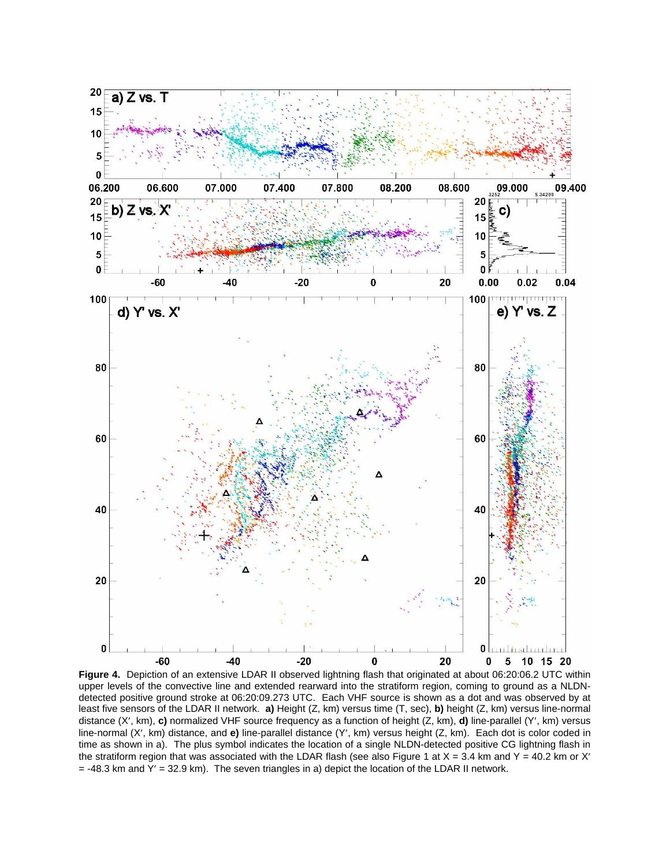

**Figure 4.** Depiction of an extensive LDAR II observed lightning flash that originated at about 06:20:06.2 UTC within upper levels of the convective line and extended rearward into the stratiform region, coming to ground as a NLDNdetected positive ground stroke at 06:20:09.273 UTC. Each VHF source is shown as a dot and was observed by at least five sensors of the LDAR II network. **a)** Height (Z, km) versus time (T, sec), **b)** height (Z, km) versus line-normal distance (X′, km), **c)** normalized VHF source frequency as a function of height (Z, km), **d)** line-parallel (Y′, km) versus line-normal (X′, km) distance, and **e)** line-parallel distance (Y′, km) versus height (Z, km). Each dot is color coded in time as shown in a). The plus symbol indicates the location of a single NLDN-detected positive CG lightning flash in the stratiform region that was associated with the LDAR flash (see also Figure 1 at  $X = 3.4$  km and Y = 40.2 km or X'  $=$  -48.3 km and Y' = 32.9 km). The seven triangles in a) depict the location of the LDAR II network.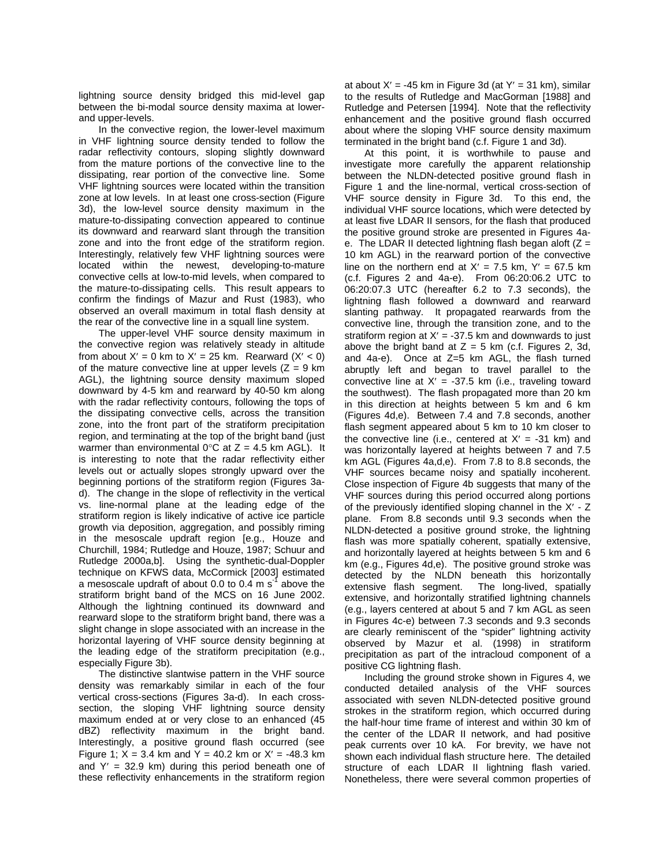lightning source density bridged this mid-level gap between the bi-modal source density maxima at lowerand upper-levels.

 In the convective region, the lower-level maximum in VHF lightning source density tended to follow the radar reflectivity contours, sloping slightly downward from the mature portions of the convective line to the dissipating, rear portion of the convective line. Some VHF lightning sources were located within the transition zone at low levels. In at least one cross-section (Figure 3d), the low-level source density maximum in the mature-to-dissipating convection appeared to continue its downward and rearward slant through the transition zone and into the front edge of the stratiform region. Interestingly, relatively few VHF lightning sources were located within the newest, developing-to-mature convective cells at low-to-mid levels, when compared to the mature-to-dissipating cells. This result appears to confirm the findings of Mazur and Rust (1983), who observed an overall maximum in total flash density at the rear of the convective line in a squall line system.

 The upper-level VHF source density maximum in the convective region was relatively steady in altitude from about  $X' = 0$  km to  $X' = 25$  km. Rearward  $(X' < 0)$ of the mature convective line at upper levels  $(Z = 9$  km AGL), the lightning source density maximum sloped downward by 4-5 km and rearward by 40-50 km along with the radar reflectivity contours, following the tops of the dissipating convective cells, across the transition zone, into the front part of the stratiform precipitation region, and terminating at the top of the bright band (just warmer than environmental  $0^{\circ}$ C at Z = 4.5 km AGL). It is interesting to note that the radar reflectivity either levels out or actually slopes strongly upward over the beginning portions of the stratiform region (Figures 3ad). The change in the slope of reflectivity in the vertical vs. line-normal plane at the leading edge of the stratiform region is likely indicative of active ice particle growth via deposition, aggregation, and possibly riming in the mesoscale updraft region [e.g., Houze and Churchill, 1984; Rutledge and Houze, 1987; Schuur and Rutledge 2000a,b]. Using the synthetic-dual-Doppler technique on KFWS data, McCormick [2003] estimated a mesoscale updraft of about 0.0 to 0.4 m s $^{-1}$  above the stratiform bright band of the MCS on 16 June 2002. Although the lightning continued its downward and rearward slope to the stratiform bright band, there was a slight change in slope associated with an increase in the horizontal layering of VHF source density beginning at the leading edge of the stratiform precipitation (e.g., especially Figure 3b).

 The distinctive slantwise pattern in the VHF source density was remarkably similar in each of the four vertical cross-sections (Figures 3a-d). In each crosssection, the sloping VHF lightning source density maximum ended at or very close to an enhanced (45 dBZ) reflectivity maximum in the bright band. Interestingly, a positive ground flash occurred (see Figure 1;  $X = 3.4$  km and Y = 40.2 km or  $X' = -48.3$  km and  $Y' = 32.9$  km) during this period beneath one of these reflectivity enhancements in the stratiform region at about  $X' = -45$  km in Figure 3d (at  $Y' = 31$  km), similar to the results of Rutledge and MacGorman [1988] and Rutledge and Petersen [1994]. Note that the reflectivity enhancement and the positive ground flash occurred about where the sloping VHF source density maximum terminated in the bright band (c.f. Figure 1 and 3d).

 At this point, it is worthwhile to pause and investigate more carefully the apparent relationship between the NLDN-detected positive ground flash in Figure 1 and the line-normal, vertical cross-section of VHF source density in Figure 3d. To this end, the individual VHF source locations, which were detected by at least five LDAR II sensors, for the flash that produced the positive ground stroke are presented in Figures 4ae. The LDAR II detected lightning flash began aloft  $(Z =$ 10 km AGL) in the rearward portion of the convective line on the northern end at  $X' = 7.5$  km,  $Y' = 67.5$  km (c.f. Figures 2 and 4a-e). From 06:20:06.2 UTC to 06:20:07.3 UTC (hereafter 6.2 to 7.3 seconds), the lightning flash followed a downward and rearward slanting pathway. It propagated rearwards from the convective line, through the transition zone, and to the stratiform region at  $X' = -37.5$  km and downwards to just above the bright band at  $Z = 5$  km (c.f. Figures 2, 3d, and 4a-e). Once at Z=5 km AGL, the flash turned abruptly left and began to travel parallel to the convective line at  $X' = -37.5$  km (i.e., traveling toward the southwest). The flash propagated more than 20 km in this direction at heights between 5 km and 6 km (Figures 4d,e). Between 7.4 and 7.8 seconds, another flash segment appeared about 5 km to 10 km closer to the convective line (i.e., centered at  $X' = -31$  km) and was horizontally layered at heights between 7 and 7.5 km AGL (Figures 4a,d,e). From 7.8 to 8.8 seconds, the VHF sources became noisy and spatially incoherent. Close inspection of Figure 4b suggests that many of the VHF sources during this period occurred along portions of the previously identified sloping channel in the X′ - Z plane. From 8.8 seconds until 9.3 seconds when the NLDN-detected a positive ground stroke, the lightning flash was more spatially coherent, spatially extensive, and horizontally layered at heights between 5 km and 6 km (e.g., Figures 4d,e). The positive ground stroke was detected by the NLDN beneath this horizontally extensive flash segment. The long-lived, spatially extensive, and horizontally stratified lightning channels (e.g., layers centered at about 5 and 7 km AGL as seen in Figures 4c-e) between 7.3 seconds and 9.3 seconds are clearly reminiscent of the "spider" lightning activity observed by Mazur et al. (1998) in stratiform precipitation as part of the intracloud component of a positive CG lightning flash.

 Including the ground stroke shown in Figures 4, we conducted detailed analysis of the VHF sources associated with seven NLDN-detected positive ground strokes in the stratiform region, which occurred during the half-hour time frame of interest and within 30 km of the center of the LDAR II network, and had positive peak currents over 10 kA. For brevity, we have not shown each individual flash structure here. The detailed structure of each LDAR II lightning flash varied. Nonetheless, there were several common properties of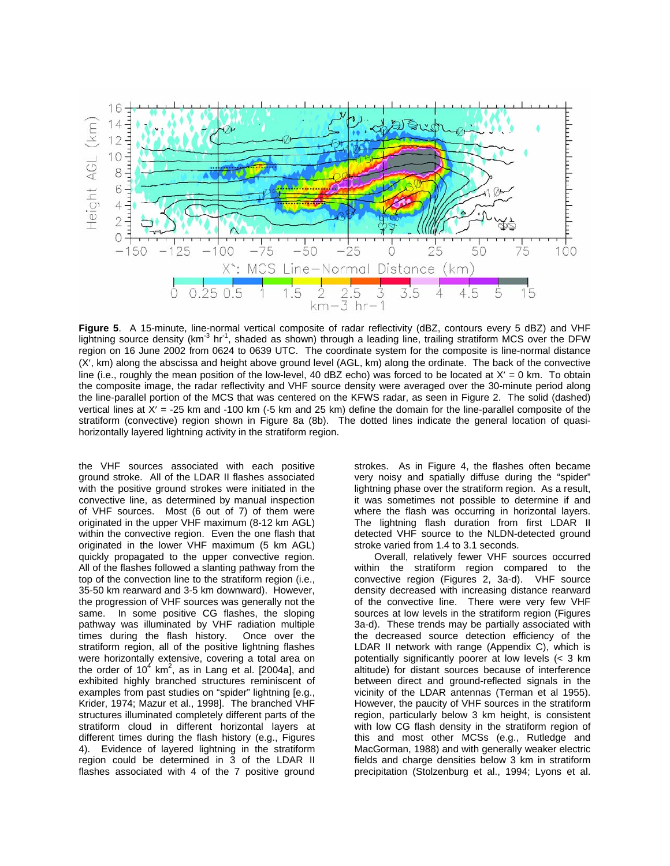

**Figure 5**. A 15-minute, line-normal vertical composite of radar reflectivity (dBZ, contours every 5 dBZ) and VHF lightning source density ( $km^{-3}$  hr<sup>-1</sup>, shaded as shown) through a leading line, trailing stratiform MCS over the DFW region on 16 June 2002 from 0624 to 0639 UTC. The coordinate system for the composite is line-normal distance (X′, km) along the abscissa and height above ground level (AGL, km) along the ordinate. The back of the convective line (i.e., roughly the mean position of the low-level, 40 dBZ echo) was forced to be located at X' = 0 km. To obtain the composite image, the radar reflectivity and VHF source density were averaged over the 30-minute period along the line-parallel portion of the MCS that was centered on the KFWS radar, as seen in Figure 2. The solid (dashed) vertical lines at X′ = -25 km and -100 km (-5 km and 25 km) define the domain for the line-parallel composite of the stratiform (convective) region shown in Figure 8a (8b). The dotted lines indicate the general location of quasihorizontally layered lightning activity in the stratiform region.

the VHF sources associated with each positive ground stroke. All of the LDAR II flashes associated with the positive ground strokes were initiated in the convective line, as determined by manual inspection of VHF sources. Most (6 out of 7) of them were originated in the upper VHF maximum (8-12 km AGL) within the convective region. Even the one flash that originated in the lower VHF maximum (5 km AGL) quickly propagated to the upper convective region. All of the flashes followed a slanting pathway from the top of the convection line to the stratiform region (i.e., 35-50 km rearward and 3-5 km downward). However, the progression of VHF sources was generally not the same. In some positive CG flashes, the sloping pathway was illuminated by VHF radiation multiple times during the flash history. Once over the stratiform region, all of the positive lightning flashes were horizontally extensive, covering a total area on the order of 10<sup>4</sup> km<sup>2</sup>, as in Lang et al. [2004a], and exhibited highly branched structures reminiscent of examples from past studies on "spider" lightning [e.g., Krider, 1974; Mazur et al., 1998]. The branched VHF structures illuminated completely different parts of the stratiform cloud in different horizontal layers at different times during the flash history (e.g., Figures 4). Evidence of layered lightning in the stratiform region could be determined in 3 of the LDAR II flashes associated with 4 of the 7 positive ground

strokes. As in Figure 4, the flashes often became very noisy and spatially diffuse during the "spider" lightning phase over the stratiform region. As a result, it was sometimes not possible to determine if and where the flash was occurring in horizontal layers. The lightning flash duration from first LDAR II detected VHF source to the NLDN-detected ground stroke varied from 1.4 to 3.1 seconds.

Overall, relatively fewer VHF sources occurred within the stratiform region compared to the convective region (Figures 2, 3a-d). VHF source density decreased with increasing distance rearward of the convective line. There were very few VHF sources at low levels in the stratiform region (Figures 3a-d). These trends may be partially associated with the decreased source detection efficiency of the LDAR II network with range (Appendix C), which is potentially significantly poorer at low levels (< 3 km altitude) for distant sources because of interference between direct and ground-reflected signals in the vicinity of the LDAR antennas (Terman et al 1955). However, the paucity of VHF sources in the stratiform region, particularly below 3 km height, is consistent with low CG flash density in the stratiform region of this and most other MCSs (e.g., Rutledge and MacGorman, 1988) and with generally weaker electric fields and charge densities below 3 km in stratiform precipitation (Stolzenburg et al., 1994; Lyons et al.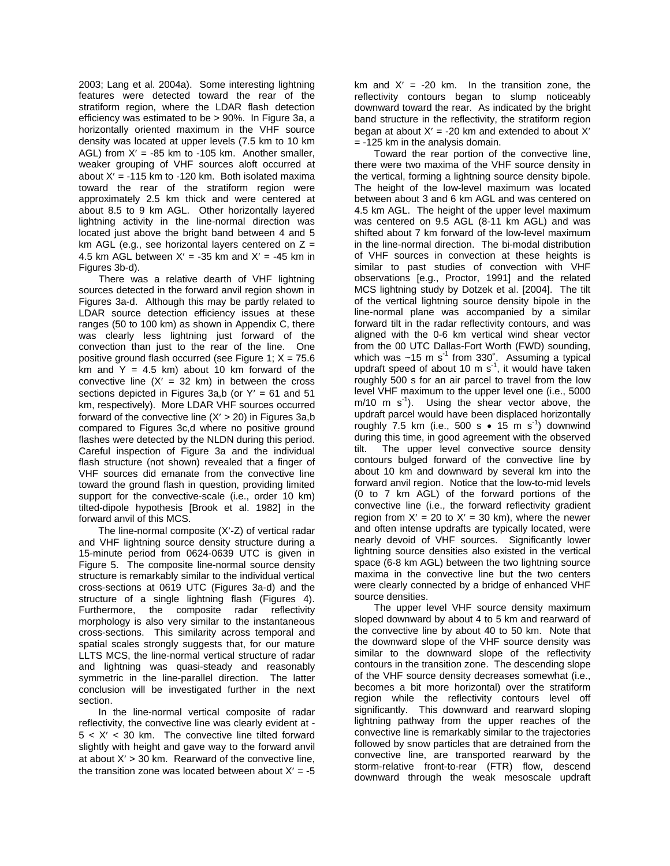2003; Lang et al. 2004a). Some interesting lightning features were detected toward the rear of the stratiform region, where the LDAR flash detection efficiency was estimated to be > 90%. In Figure 3a, a horizontally oriented maximum in the VHF source density was located at upper levels (7.5 km to 10 km AGL) from  $X' = -85$  km to  $-105$  km. Another smaller, weaker grouping of VHF sources aloft occurred at about  $X' = -115$  km to  $-120$  km. Both isolated maxima toward the rear of the stratiform region were approximately 2.5 km thick and were centered at about 8.5 to 9 km AGL. Other horizontally layered lightning activity in the line-normal direction was located just above the bright band between 4 and 5 km AGL (e.g., see horizontal layers centered on  $Z =$ 4.5 km AGL between  $X' = -35$  km and  $X' = -45$  km in Figures 3b-d).

 There was a relative dearth of VHF lightning sources detected in the forward anvil region shown in Figures 3a-d. Although this may be partly related to LDAR source detection efficiency issues at these ranges (50 to 100 km) as shown in Appendix C, there was clearly less lightning just forward of the convection than just to the rear of the line. One positive ground flash occurred (see Figure 1;  $X = 75.6$ km and  $Y = 4.5$  km) about 10 km forward of the convective line  $(X' = 32 \text{ km})$  in between the cross sections depicted in Figures 3a,b (or  $Y' = 61$  and 51 km, respectively). More LDAR VHF sources occurred forward of the convective line  $(X' > 20)$  in Figures 3a,b compared to Figures 3c,d where no positive ground flashes were detected by the NLDN during this period. Careful inspection of Figure 3a and the individual flash structure (not shown) revealed that a finger of VHF sources did emanate from the convective line toward the ground flash in question, providing limited support for the convective-scale (i.e., order 10 km) tilted-dipole hypothesis [Brook et al. 1982] in the forward anvil of this MCS.

 The line-normal composite (X′-Z) of vertical radar and VHF lightning source density structure during a 15-minute period from 0624-0639 UTC is given in Figure 5. The composite line-normal source density structure is remarkably similar to the individual vertical cross-sections at 0619 UTC (Figures 3a-d) and the structure of a single lightning flash (Figures 4). Furthermore, the composite radar reflectivity morphology is also very similar to the instantaneous cross-sections. This similarity across temporal and spatial scales strongly suggests that, for our mature LLTS MCS, the line-normal vertical structure of radar and lightning was quasi-steady and reasonably symmetric in the line-parallel direction. The latter conclusion will be investigated further in the next section.

 In the line-normal vertical composite of radar reflectivity, the convective line was clearly evident at -  $5 < X' < 30$  km. The convective line tilted forward slightly with height and gave way to the forward anvil at about  $X' > 30$  km. Rearward of the convective line, the transition zone was located between about  $X' = -5$ 

km and  $X' = -20$  km. In the transition zone, the reflectivity contours began to slump noticeably downward toward the rear. As indicated by the bright band structure in the reflectivity, the stratiform region began at about  $X' = -20$  km and extended to about  $X'$ = -125 km in the analysis domain.

 Toward the rear portion of the convective line, there were two maxima of the VHF source density in the vertical, forming a lightning source density bipole. The height of the low-level maximum was located between about 3 and 6 km AGL and was centered on 4.5 km AGL. The height of the upper level maximum was centered on 9.5 AGL (8-11 km AGL) and was shifted about 7 km forward of the low-level maximum in the line-normal direction. The bi-modal distribution of VHF sources in convection at these heights is similar to past studies of convection with VHF observations [e.g., Proctor, 1991] and the related MCS lightning study by Dotzek et al. [2004]. The tilt of the vertical lightning source density bipole in the line-normal plane was accompanied by a similar forward tilt in the radar reflectivity contours, and was aligned with the 0-6 km vertical wind shear vector from the 00 UTC Dallas-Fort Worth (FWD) sounding, which was  $~15 \text{ m s}^{-1}$  from 330°. Assuming a typical updraft speed of about 10 m  $s^{-1}$ , it would have taken roughly 500 s for an air parcel to travel from the low level VHF maximum to the upper level one (i.e., 5000  $m/10$  m s<sup>-1</sup>). Using the shear vector above, the updraft parcel would have been displaced horizontally roughly 7.5 km (i.e., 500 s  $\bullet$  15 m s<sup>-1</sup>) downwind during this time, in good agreement with the observed tilt. The upper level convective source density contours bulged forward of the convective line by about 10 km and downward by several km into the forward anvil region. Notice that the low-to-mid levels (0 to 7 km AGL) of the forward portions of the convective line (i.e., the forward reflectivity gradient region from  $X' = 20$  to  $X' = 30$  km), where the newer and often intense updrafts are typically located, were nearly devoid of VHF sources. Significantly lower lightning source densities also existed in the vertical space (6-8 km AGL) between the two lightning source maxima in the convective line but the two centers were clearly connected by a bridge of enhanced VHF source densities.

 The upper level VHF source density maximum sloped downward by about 4 to 5 km and rearward of the convective line by about 40 to 50 km. Note that the downward slope of the VHF source density was similar to the downward slope of the reflectivity contours in the transition zone. The descending slope of the VHF source density decreases somewhat (i.e., becomes a bit more horizontal) over the stratiform region while the reflectivity contours level off significantly. This downward and rearward sloping lightning pathway from the upper reaches of the convective line is remarkably similar to the trajectories followed by snow particles that are detrained from the convective line, are transported rearward by the storm-relative front-to-rear (FTR) flow, descend downward through the weak mesoscale updraft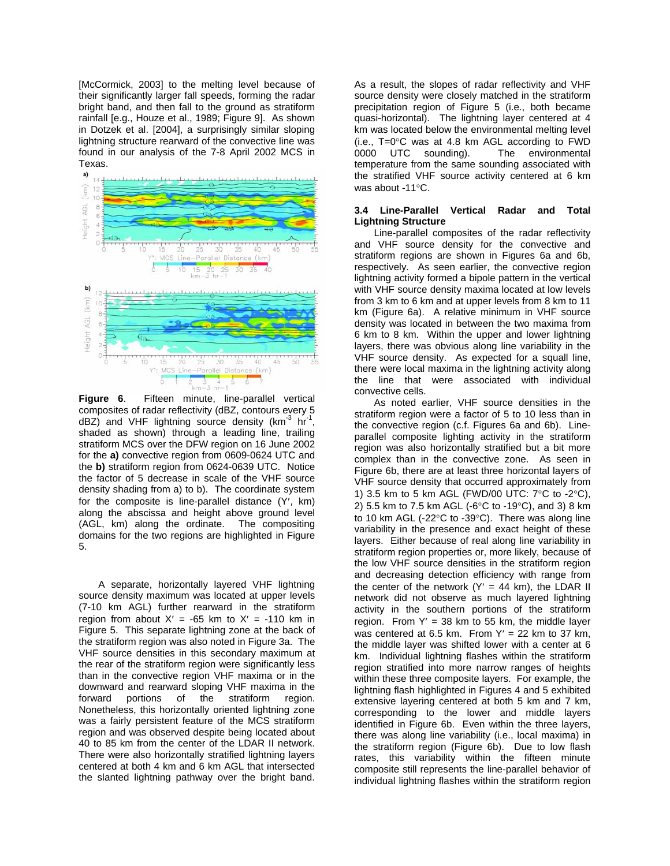[McCormick, 2003] to the melting level because of their significantly larger fall speeds, forming the radar bright band, and then fall to the ground as stratiform rainfall [e.g., Houze et al., 1989; Figure 9]. As shown in Dotzek et al. [2004], a surprisingly similar sloping lightning structure rearward of the convective line was found in our analysis of the 7-8 April 2002 MCS in Texas.



**Figure 6**. Fifteen minute, line-parallel vertical composites of radar reflectivity (dBZ, contours every 5  $dBZ$ ) and VHF lightning source density (km<sup>-3</sup> hr<sup>-1</sup>, shaded as shown) through a leading line, trailing stratiform MCS over the DFW region on 16 June 2002 for the **a)** convective region from 0609-0624 UTC and the **b)** stratiform region from 0624-0639 UTC. Notice the factor of 5 decrease in scale of the VHF source density shading from a) to b). The coordinate system for the composite is line-parallel distance (Y′, km) along the abscissa and height above ground level (AGL, km) along the ordinate. The compositing domains for the two regions are highlighted in Figure 5.

A separate, horizontally layered VHF lightning source density maximum was located at upper levels (7-10 km AGL) further rearward in the stratiform region from about  $X' = -65$  km to  $X' = -110$  km in Figure 5. This separate lightning zone at the back of the stratiform region was also noted in Figure 3a. The VHF source densities in this secondary maximum at the rear of the stratiform region were significantly less than in the convective region VHF maxima or in the downward and rearward sloping VHF maxima in the forward portions of the stratiform region. Nonetheless, this horizontally oriented lightning zone was a fairly persistent feature of the MCS stratiform region and was observed despite being located about 40 to 85 km from the center of the LDAR II network. There were also horizontally stratified lightning layers centered at both 4 km and 6 km AGL that intersected the slanted lightning pathway over the bright band.

As a result, the slopes of radar reflectivity and VHF source density were closely matched in the stratiform precipitation region of Figure 5 (i.e., both became quasi-horizontal). The lightning layer centered at 4 km was located below the environmental melting level (i.e., T=0°C was at 4.8 km AGL according to FWD 0000 UTC sounding). The environmental temperature from the same sounding associated with the stratified VHF source activity centered at 6 km was about -11°C.

### **3.4 Line-Parallel Vertical Radar and Total Lightning Structure**

Line-parallel composites of the radar reflectivity and VHF source density for the convective and stratiform regions are shown in Figures 6a and 6b, respectively. As seen earlier, the convective region lightning activity formed a bipole pattern in the vertical with VHF source density maxima located at low levels from 3 km to 6 km and at upper levels from 8 km to 11 km (Figure 6a). A relative minimum in VHF source density was located in between the two maxima from 6 km to 8 km. Within the upper and lower lightning layers, there was obvious along line variability in the VHF source density. As expected for a squall line, there were local maxima in the lightning activity along the line that were associated with individual convective cells.

As noted earlier, VHF source densities in the stratiform region were a factor of 5 to 10 less than in the convective region (c.f. Figures 6a and 6b). Lineparallel composite lighting activity in the stratiform region was also horizontally stratified but a bit more complex than in the convective zone. As seen in Figure 6b, there are at least three horizontal layers of VHF source density that occurred approximately from 1) 3.5 km to 5 km AGL (FWD/00 UTC: 7°C to -2°C), 2) 5.5 km to 7.5 km AGL (-6°C to -19°C), and 3) 8 km to 10 km AGL (-22°C to -39°C). There was along line variability in the presence and exact height of these layers. Either because of real along line variability in stratiform region properties or, more likely, because of the low VHF source densities in the stratiform region and decreasing detection efficiency with range from the center of the network  $(Y' = 44$  km), the LDAR II network did not observe as much layered lightning activity in the southern portions of the stratiform region. From  $Y' = 38$  km to 55 km, the middle layer was centered at 6.5 km. From  $Y' = 22$  km to 37 km, the middle layer was shifted lower with a center at 6 km. Individual lightning flashes within the stratiform region stratified into more narrow ranges of heights within these three composite layers. For example, the lightning flash highlighted in Figures 4 and 5 exhibited extensive layering centered at both 5 km and 7 km, corresponding to the lower and middle layers identified in Figure 6b. Even within the three layers, there was along line variability (i.e., local maxima) in the stratiform region (Figure 6b). Due to low flash rates, this variability within the fifteen minute composite still represents the line-parallel behavior of individual lightning flashes within the stratiform region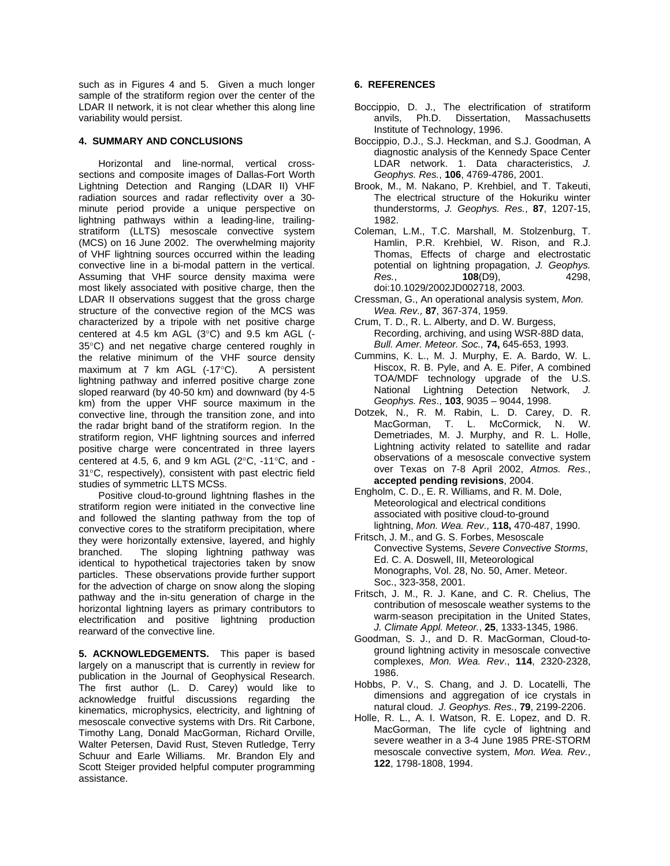such as in Figures 4 and 5. Given a much longer sample of the stratiform region over the center of the LDAR II network, it is not clear whether this along line variability would persist.

## **4. SUMMARY AND CONCLUSIONS**

 Horizontal and line-normal, vertical crosssections and composite images of Dallas-Fort Worth Lightning Detection and Ranging (LDAR II) VHF radiation sources and radar reflectivity over a 30 minute period provide a unique perspective on lightning pathways within a leading-line, trailingstratiform (LLTS) mesoscale convective system (MCS) on 16 June 2002. The overwhelming majority of VHF lightning sources occurred within the leading convective line in a bi-modal pattern in the vertical. Assuming that VHF source density maxima were most likely associated with positive charge, then the LDAR II observations suggest that the gross charge structure of the convective region of the MCS was characterized by a tripole with net positive charge centered at 4.5 km AGL (3°C) and 9.5 km AGL (- 35°C) and net negative charge centered roughly in the relative minimum of the VHF source density maximum at 7 km AGL (-17°C). A persistent lightning pathway and inferred positive charge zone sloped rearward (by 40-50 km) and downward (by 4-5 km) from the upper VHF source maximum in the convective line, through the transition zone, and into the radar bright band of the stratiform region. In the stratiform region, VHF lightning sources and inferred positive charge were concentrated in three layers centered at 4.5, 6, and 9 km AGL (2°C, -11°C, and - 31°C, respectively), consistent with past electric field studies of symmetric LLTS MCSs.

 Positive cloud-to-ground lightning flashes in the stratiform region were initiated in the convective line and followed the slanting pathway from the top of convective cores to the stratiform precipitation, where they were horizontally extensive, layered, and highly branched. The sloping lightning pathway was identical to hypothetical trajectories taken by snow particles. These observations provide further support for the advection of charge on snow along the sloping pathway and the in-situ generation of charge in the horizontal lightning layers as primary contributors to electrification and positive lightning production rearward of the convective line.

**5. ACKNOWLEDGEMENTS.** This paper is based largely on a manuscript that is currently in review for publication in the Journal of Geophysical Research. The first author (L. D. Carey) would like to acknowledge fruitful discussions regarding the kinematics, microphysics, electricity, and lightning of mesoscale convective systems with Drs. Rit Carbone, Timothy Lang, Donald MacGorman, Richard Orville, Walter Petersen, David Rust, Steven Rutledge, Terry Schuur and Earle Williams. Mr. Brandon Ely and Scott Steiger provided helpful computer programming assistance.

## **6. REFERENCES**

- Boccippio, D. J., The electrification of stratiform anvils, Ph.D. Dissertation, Massachusetts Institute of Technology, 1996.
- Boccippio, D.J., S.J. Heckman, and S.J. Goodman, A diagnostic analysis of the Kennedy Space Center LDAR network. 1. Data characteristics, *J. Geophys. Res.*, **106**, 4769-4786, 2001.
- Brook, M., M. Nakano, P. Krehbiel, and T. Takeuti, The electrical structure of the Hokuriku winter thunderstorms, *J. Geophys. Res.*, **87**, 1207-15, 1982.
- Coleman, L.M., T.C. Marshall, M. Stolzenburg, T. Hamlin, P.R. Krehbiel, W. Rison, and R.J. Thomas, Effects of charge and electrostatic potential on lightning propagation, *J. Geophys. Res.*, **108**(D9), 4298, doi:10.1029/2002JD002718, 2003.
- Cressman, G., An operational analysis system, *Mon. Wea. Rev.,* **87**, 367-374, 1959.
- Crum, T. D., R. L. Alberty, and D. W. Burgess, Recording, archiving, and using WSR-88D data, *Bull. Amer. Meteor. Soc.,* **74,** 645-653, 1993.
- Cummins, K. L., M. J. Murphy, E. A. Bardo, W. L. Hiscox, R. B. Pyle, and A. E. Pifer, A combined TOA/MDF technology upgrade of the U.S. National Lightning Detection Network, *J. Geophys. Res*., **103**, 9035 – 9044, 1998.
- Dotzek, N., R. M. Rabin, L. D. Carey, D. R. MacGorman, T. L. McCormick, N. W. Demetriades, M. J. Murphy, and R. L. Holle, Lightning activity related to satellite and radar observations of a mesoscale convective system over Texas on 7-8 April 2002, *Atmos. Res.*, **accepted pending revisions**, 2004.
- Engholm, C. D., E. R. Williams, and R. M. Dole, Meteorological and electrical conditions associated with positive cloud-to-ground lightning, *Mon. Wea. Rev.,* **118,** 470-487, 1990.
- Fritsch, J. M., and G. S. Forbes, Mesoscale Convective Systems, *Severe Convective Storms*, Ed. C. A. Doswell, III, Meteorological Monographs, Vol. 28, No. 50, Amer. Meteor. Soc., 323-358, 2001.
- Fritsch, J. M., R. J. Kane, and C. R. Chelius, The contribution of mesoscale weather systems to the warm-season precipitation in the United States, *J. Climate Appl. Meteor.*, **25**, 1333-1345, 1986.
- Goodman, S. J., and D. R. MacGorman, Cloud-toground lightning activity in mesoscale convective complexes, *Mon. Wea. Rev*., **114**, 2320-2328, 1986.
- Hobbs, P. V., S. Chang, and J. D. Locatelli, The dimensions and aggregation of ice crystals in natural cloud. *J. Geophys. Res.*, **79**, 2199-2206.
- Holle, R. L., A. I. Watson, R. E. Lopez, and D. R. MacGorman, The life cycle of lightning and severe weather in a 3-4 June 1985 PRE-STORM mesoscale convective system, *Mon. Wea. Rev.*, **122**, 1798-1808, 1994.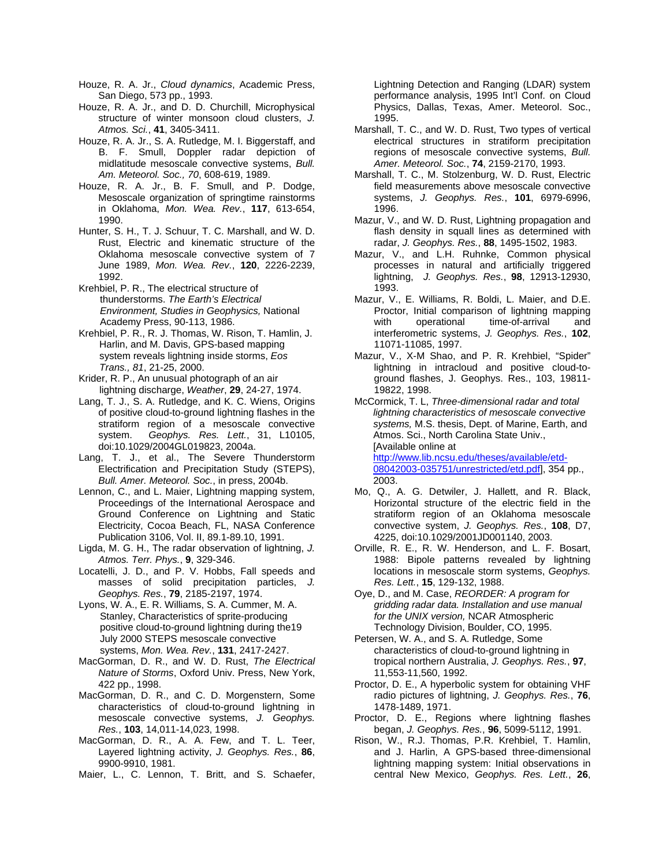- Houze, R. A. Jr., *Cloud dynamics*, Academic Press, San Diego, 573 pp., 1993.
- Houze, R. A. Jr., and D. D. Churchill, Microphysical structure of winter monsoon cloud clusters, *J. Atmos. Sci.*, **41**, 3405-3411.
- Houze, R. A. Jr., S. A. Rutledge, M. I. Biggerstaff, and B. F. Smull, Doppler radar depiction of midlatitude mesoscale convective systems, *Bull. Am. Meteorol. Soc., 70*, 608-619, 1989.
- Houze, R. A. Jr., B. F. Smull, and P. Dodge, Mesoscale organization of springtime rainstorms in Oklahoma, *Mon. Wea. Rev.*, **117**, 613-654, 1990.
- Hunter, S. H., T. J. Schuur, T. C. Marshall, and W. D. Rust, Electric and kinematic structure of the Oklahoma mesoscale convective system of 7 June 1989, *Mon. Wea. Rev.*, **120**, 2226-2239, 1992.
- Krehbiel, P. R., The electrical structure of thunderstorms. *The Earth's Electrical Environment, Studies in Geophysics,* National Academy Press, 90-113, 1986.
- Krehbiel, P. R., R. J. Thomas, W. Rison, T. Hamlin, J. Harlin, and M. Davis, GPS-based mapping system reveals lightning inside storms, *Eos Trans., 81*, 21-25, 2000.
- Krider, R. P., An unusual photograph of an air lightning discharge, *Weather*, **29**, 24-27, 1974.
- Lang, T. J., S. A. Rutledge, and K. C. Wiens, Origins of positive cloud-to-ground lightning flashes in the stratiform region of a mesoscale convective system. *Geophys. Res. Lett.*, 31, L10105, doi:10.1029/2004GL019823, 2004a.
- Lang, T. J., et al., The Severe Thunderstorm Electrification and Precipitation Study (STEPS), *Bull. Amer. Meteorol. Soc.*, in press, 2004b.
- Lennon, C., and L. Maier, Lightning mapping system, Proceedings of the International Aerospace and Ground Conference on Lightning and Static Electricity, Cocoa Beach, FL, NASA Conference Publication 3106, Vol. II, 89.1-89.10, 1991.
- Ligda, M. G. H., The radar observation of lightning, *J. Atmos. Terr. Phys.*, **9**, 329-346.
- Locatelli, J. D., and P. V. Hobbs, Fall speeds and masses of solid precipitation particles, *J. Geophys. Res.*, **79**, 2185-2197, 1974.
- Lyons, W. A., E. R. Williams, S. A. Cummer, M. A. Stanley, Characteristics of sprite-producing positive cloud-to-ground lightning during the19 July 2000 STEPS mesoscale convective systems, *Mon. Wea. Rev.*, **131**, 2417-2427.
- MacGorman, D. R., and W. D. Rust, *The Electrical Nature of Storms*, Oxford Univ. Press, New York, 422 pp., 1998.
- MacGorman, D. R., and C. D. Morgenstern, Some characteristics of cloud-to-ground lightning in mesoscale convective systems, *J. Geophys. Res.*, **103**, 14,011-14,023, 1998.
- MacGorman, D. R., A. A. Few, and T. L. Teer, Layered lightning activity, *J. Geophys. Res.*, **86**, 9900-9910, 1981.
- Maier, L., C. Lennon, T. Britt, and S. Schaefer,

Lightning Detection and Ranging (LDAR) system performance analysis, 1995 Int'l Conf. on Cloud Physics, Dallas, Texas, Amer. Meteorol. Soc., 1995.

- Marshall, T. C., and W. D. Rust, Two types of vertical electrical structures in stratiform precipitation regions of mesoscale convective systems, *Bull. Amer. Meteorol. Soc.*, **74**, 2159-2170, 1993.
- Marshall, T. C., M. Stolzenburg, W. D. Rust, Electric field measurements above mesoscale convective systems, *J. Geophys. Res.*, **101**, 6979-6996, 1996.
- Mazur, V., and W. D. Rust, Lightning propagation and flash density in squall lines as determined with radar, *J. Geophys. Res.*, **88**, 1495-1502, 1983.
- Mazur, V., and L.H. Ruhnke, Common physical processes in natural and artificially triggered lightning, *J. Geophys. Res.*, **98**, 12913-12930, 1993.
- Mazur, V., E. Williams, R. Boldi, L. Maier, and D.E. Proctor, Initial comparison of lightning mapping with operational time-of-arrival and interferometric systems, *J. Geophys. Res.*, **102**, 11071-11085, 1997.
- Mazur, V., X-M Shao, and P. R. Krehbiel, "Spider" lightning in intracloud and positive cloud-toground flashes, J. Geophys. Res., 103, 19811- 19822, 1998.
- McCormick, T. L, *Three-dimensional radar and total lightning characteristics of mesoscale convective systems,* M.S. thesis, Dept. of Marine, Earth, and Atmos. Sci., North Carolina State Univ., [Available online at [http://www.lib.ncsu.edu/theses/available/etd-](http://www.lib.ncsu.edu/theses/available/etd-08042003-035751/unrestricted/etd.pdf)[08042003-035751/unrestricted/etd.pdf\]](http://www.lib.ncsu.edu/theses/available/etd-08042003-035751/unrestricted/etd.pdf), 354 pp., 2003.
- Mo, Q., A. G. Detwiler, J. Hallett, and R. Black, Horizontal structure of the electric field in the stratiform region of an Oklahoma mesoscale convective system, *J. Geophys. Res.*, **108**, D7, 4225, doi:10.1029/2001JD001140, 2003.
- Orville, R. E., R. W. Henderson, and L. F. Bosart, 1988: Bipole patterns revealed by lightning locations in mesoscale storm systems, *Geophys. Res. Lett.*, **15**, 129-132, 1988.
- Oye, D., and M. Case, *REORDER: A program for gridding radar data. Installation and use manual for the UNIX version,* NCAR Atmospheric Technology Division, Boulder, CO, 1995.
- Petersen, W. A., and S. A. Rutledge, Some characteristics of cloud-to-ground lightning in tropical northern Australia, *J. Geophys. Res.*, **97**, 11,553-11,560, 1992.
- Proctor, D. E., A hyperbolic system for obtaining VHF radio pictures of lightning, *J. Geophys. Res.*, **76**, 1478-1489, 1971.
- Proctor, D. E., Regions where lightning flashes began, *J. Geophys. Res.*, **96**, 5099-5112, 1991.
- Rison, W., R.J. Thomas, P.R. Krehbiel, T. Hamlin, and J. Harlin, A GPS-based three-dimensional lightning mapping system: Initial observations in central New Mexico, *Geophys. Res. Lett.*, **26**,